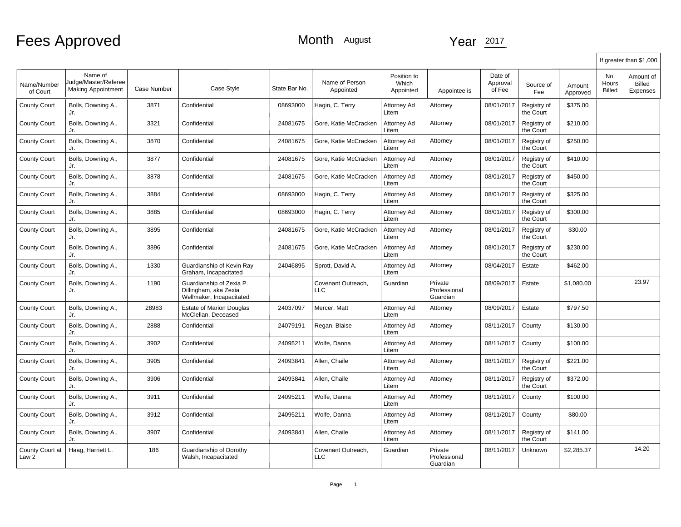|                          |                                                              |                    |                                                                               |               |                                  |                                   |                                     |                               |                          |                    |                               | If greater than \$1,000         |
|--------------------------|--------------------------------------------------------------|--------------------|-------------------------------------------------------------------------------|---------------|----------------------------------|-----------------------------------|-------------------------------------|-------------------------------|--------------------------|--------------------|-------------------------------|---------------------------------|
| Name/Number<br>of Court  | Name of<br>Judge/Master/Referee<br><b>Making Appointment</b> | <b>Case Number</b> | Case Style                                                                    | State Bar No. | Name of Person<br>Appointed      | Position to<br>Which<br>Appointed | Appointee is                        | Date of<br>Approval<br>of Fee | Source of<br>Fee         | Amount<br>Approved | No.<br>Hours<br><b>Billed</b> | Amount of<br>Billed<br>Expenses |
| <b>County Court</b>      | Bolls, Downing A.,<br>Jr.                                    | 3871               | Confidential                                                                  | 08693000      | Hagin, C. Terry                  | Attorney Ad<br>Litem              | Attorney                            | 08/01/2017                    | Registry of<br>the Court | \$375.00           |                               |                                 |
| <b>County Court</b>      | Bolls, Downing A.,<br>Jr.                                    | 3321               | Confidential                                                                  | 24081675      | Gore, Katie McCracken            | Attorney Ad<br>Litem              | Attorney                            | 08/01/2017                    | Registry of<br>the Court | \$210.00           |                               |                                 |
| <b>County Court</b>      | Bolls, Downing A.,<br>Jr.                                    | 3870               | Confidential                                                                  | 24081675      | Gore, Katie McCracken            | Attorney Ad<br>Litem              | Attorney                            | 08/01/2017                    | Registry of<br>the Court | \$250.00           |                               |                                 |
| <b>County Court</b>      | Bolls, Downing A.,<br>Jr.                                    | 3877               | Confidential                                                                  | 24081675      | Gore, Katie McCracken            | Attorney Ad<br>Litem              | Attorney                            | 08/01/2017                    | Registry of<br>the Court | \$410.00           |                               |                                 |
| <b>County Court</b>      | Bolls, Downing A.,<br>Jr.                                    | 3878               | Confidential                                                                  | 24081675      | Gore, Katie McCracken            | Attorney Ad<br>Litem              | Attorney                            | 08/01/2017                    | Registry of<br>the Court | \$450.00           |                               |                                 |
| <b>County Court</b>      | Bolls, Downing A.,<br>Jr.                                    | 3884               | Confidential                                                                  | 08693000      | Hagin, C. Terry                  | Attorney Ad<br>Litem              | Attorney                            | 08/01/2017                    | Registry of<br>the Court | \$325.00           |                               |                                 |
| <b>County Court</b>      | Bolls, Downing A.,<br>Jr.                                    | 3885               | Confidential                                                                  | 08693000      | Hagin, C. Terry                  | Attorney Ad<br>Litem              | Attorney                            | 08/01/2017                    | Registry of<br>the Court | \$300.00           |                               |                                 |
| <b>County Court</b>      | Bolls, Downing A.,<br>Jr.                                    | 3895               | Confidential                                                                  | 24081675      | Gore, Katie McCracken            | Attorney Ad<br>Litem              | Attorney                            | 08/01/2017                    | Registry of<br>the Court | \$30.00            |                               |                                 |
| <b>County Court</b>      | Bolls, Downing A.,<br>Jr.                                    | 3896               | Confidential                                                                  | 24081675      | Gore, Katie McCracken            | Attorney Ad<br>Litem              | Attorney                            | 08/01/2017                    | Registry of<br>the Court | \$230.00           |                               |                                 |
| <b>County Court</b>      | Bolls, Downing A.,<br>Jr.                                    | 1330               | Guardianship of Kevin Ray<br>Graham, Incapacitated                            | 24046895      | Sprott, David A.                 | Attorney Ad<br>Litem              | Attorney                            | 08/04/2017                    | Estate                   | \$462.00           |                               |                                 |
| <b>County Court</b>      | Bolls, Downing A.,<br>Jr.                                    | 1190               | Guardianship of Zexia P.<br>Dillingham, aka Zexia<br>Wellmaker, Incapacitated |               | Covenant Outreach,<br><b>LLC</b> | Guardian                          | Private<br>Professional<br>Guardian | 08/09/2017                    | Estate                   | \$1,080.00         |                               | 23.97                           |
| <b>County Court</b>      | Bolls, Downing A.,<br>Jr.                                    | 28983              | <b>Estate of Marion Douglas</b><br>McClellan, Deceased                        | 24037097      | Mercer, Matt                     | Attorney Ad<br>Litem              | Attorney                            | 08/09/2017                    | Estate                   | \$797.50           |                               |                                 |
| <b>County Court</b>      | Bolls, Downing A.,<br>Jr.                                    | 2888               | Confidential                                                                  | 24079191      | Regan, Blaise                    | Attorney Ad<br>Litem              | Attorney                            | 08/11/2017                    | County                   | \$130.00           |                               |                                 |
| <b>County Court</b>      | Bolls, Downing A.,<br>Jr.                                    | 3902               | Confidential                                                                  | 24095211      | Wolfe, Danna                     | Attorney Ad<br>Litem              | Attorney                            | 08/11/2017                    | County                   | \$100.00           |                               |                                 |
| <b>County Court</b>      | Bolls, Downing A.,<br>Jr.                                    | 3905               | Confidential                                                                  | 24093841      | Allen, Chaile                    | Attorney Ad<br>Litem              | Attorney                            | 08/11/2017                    | Registry of<br>the Court | \$221.00           |                               |                                 |
| <b>County Court</b>      | Bolls, Downing A.,<br>Jr.                                    | 3906               | Confidential                                                                  | 24093841      | Allen, Chaile                    | Attorney Ad<br>Litem              | Attorney                            | 08/11/2017                    | Registry of<br>the Court | \$372.00           |                               |                                 |
| <b>County Court</b>      | Bolls, Downing A.,<br>Jr.                                    | 3911               | Confidential                                                                  | 24095211      | Wolfe, Danna                     | Attorney Ad<br>Litem              | Attorney                            | 08/11/2017                    | County                   | \$100.00           |                               |                                 |
| <b>County Court</b>      | Bolls, Downing A.,<br>Jr.                                    | 3912               | Confidential                                                                  | 24095211      | Wolfe, Danna                     | Attorney Ad<br>Litem              | Attorney                            | 08/11/2017                    | County                   | \$80.00            |                               |                                 |
| <b>County Court</b>      | Bolls, Downing A.,<br>Jr.                                    | 3907               | Confidential                                                                  | 24093841      | Allen, Chaile                    | Attorney Ad<br>Litem              | Attorney                            | 08/11/2017                    | Registry of<br>the Court | \$141.00           |                               |                                 |
| County Court at<br>Law 2 | Haag, Harriett L.                                            | 186                | Guardianship of Dorothy<br>Walsh, Incapacitated                               |               | Covenant Outreach,<br><b>LLC</b> | Guardian                          | Private<br>Professional<br>Guardian | 08/11/2017                    | Unknown                  | \$2,285.37         |                               | 14.20                           |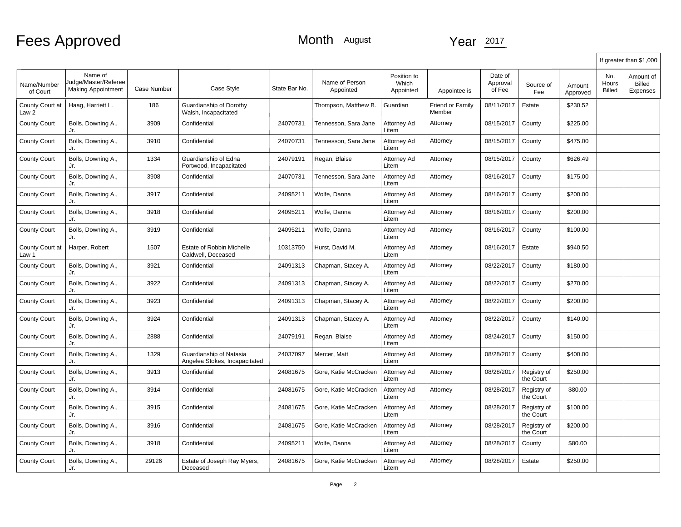|                          |                                                              |             |                                                          |               |                             |                                   |                            |                               |                          |                    |                               | If greater than \$1,000         |
|--------------------------|--------------------------------------------------------------|-------------|----------------------------------------------------------|---------------|-----------------------------|-----------------------------------|----------------------------|-------------------------------|--------------------------|--------------------|-------------------------------|---------------------------------|
| Name/Number<br>of Court  | Name of<br>Judge/Master/Referee<br><b>Making Appointment</b> | Case Number | Case Style                                               | State Bar No. | Name of Person<br>Appointed | Position to<br>Which<br>Appointed | Appointee is               | Date of<br>Approval<br>of Fee | Source of<br>Fee         | Amount<br>Approved | No.<br>Hours<br><b>Billed</b> | Amount of<br>Billed<br>Expenses |
| County Court at<br>Law 2 | Haag, Harriett L.                                            | 186         | Guardianship of Dorothy<br>Walsh, Incapacitated          |               | Thompson, Matthew B.        | Guardian                          | Friend or Family<br>Member | 08/11/2017                    | Estate                   | \$230.52           |                               |                                 |
| County Court             | Bolls, Downing A.,<br>Jr.                                    | 3909        | Confidential                                             | 24070731      | Tennesson, Sara Jane        | Attorney Ad<br>Litem              | Attorney                   | 08/15/2017                    | County                   | \$225.00           |                               |                                 |
| <b>County Court</b>      | Bolls, Downing A.,<br>Jr.                                    | 3910        | Confidential                                             | 24070731      | Tennesson, Sara Jane        | Attorney Ad<br>Litem              | Attorney                   | 08/15/2017                    | County                   | \$475.00           |                               |                                 |
| <b>County Court</b>      | Bolls, Downing A.,<br>Jr.                                    | 1334        | Guardianship of Edna<br>Portwood, Incapacitated          | 24079191      | Regan, Blaise               | Attorney Ad<br>Litem              | Attorney                   | 08/15/2017                    | County                   | \$626.49           |                               |                                 |
| <b>County Court</b>      | Bolls, Downing A.,<br>Jr.                                    | 3908        | Confidential                                             | 24070731      | Tennesson, Sara Jane        | Attorney Ad<br>Litem              | Attorney                   | 08/16/2017                    | County                   | \$175.00           |                               |                                 |
| <b>County Court</b>      | Bolls, Downing A.,<br>Jr.                                    | 3917        | Confidential                                             | 24095211      | Wolfe, Danna                | Attorney Ad<br>Litem              | Attorney                   | 08/16/2017                    | County                   | \$200.00           |                               |                                 |
| <b>County Court</b>      | Bolls, Downing A.,<br>Jr.                                    | 3918        | Confidential                                             | 24095211      | Wolfe, Danna                | Attorney Ad<br>Litem              | Attorney                   | 08/16/2017                    | County                   | \$200.00           |                               |                                 |
| <b>County Court</b>      | Bolls, Downing A.,<br>Jr.                                    | 3919        | Confidential                                             | 24095211      | Wolfe, Danna                | Attorney Ad<br>Litem              | Attorney                   | 08/16/2017                    | County                   | \$100.00           |                               |                                 |
| County Court at<br>Law 1 | Harper, Robert                                               | 1507        | Estate of Robbin Michelle<br>Caldwell, Deceased          | 10313750      | Hurst, David M.             | Attorney Ad<br>Litem              | Attorney                   | 08/16/2017                    | Estate                   | \$940.50           |                               |                                 |
| <b>County Court</b>      | Bolls, Downing A.,<br>Jr.                                    | 3921        | Confidential                                             | 24091313      | Chapman, Stacey A.          | Attorney Ad<br>Litem              | Attorney                   | 08/22/2017                    | County                   | \$180.00           |                               |                                 |
| <b>County Court</b>      | Bolls, Downing A.,<br>Jr.                                    | 3922        | Confidential                                             | 24091313      | Chapman, Stacey A.          | Attorney Ad<br>Litem              | Attorney                   | 08/22/2017                    | County                   | \$270.00           |                               |                                 |
| County Court             | Bolls, Downing A.,<br>Jr.                                    | 3923        | Confidential                                             | 24091313      | Chapman, Stacey A.          | Attorney Ad<br>Litem              | Attorney                   | 08/22/2017                    | County                   | \$200.00           |                               |                                 |
| County Court             | Bolls, Downing A.,<br>Jr.                                    | 3924        | Confidential                                             | 24091313      | Chapman, Stacey A.          | Attorney Ad<br>Litem              | Attorney                   | 08/22/2017                    | County                   | \$140.00           |                               |                                 |
| <b>County Court</b>      | Bolls, Downing A.,<br>Jr.                                    | 2888        | Confidential                                             | 24079191      | Regan, Blaise               | Attorney Ad<br>Litem              | Attorney                   | 08/24/2017                    | County                   | \$150.00           |                               |                                 |
| <b>County Court</b>      | Bolls, Downing A.,<br>Jr.                                    | 1329        | Guardianship of Natasia<br>Angelea Stokes, Incapacitated | 24037097      | Mercer, Matt                | Attorney Ad<br>Litem              | Attorney                   | 08/28/2017                    | County                   | \$400.00           |                               |                                 |
| <b>County Court</b>      | Bolls, Downing A.,<br>Jr.                                    | 3913        | Confidential                                             | 24081675      | Gore, Katie McCracken       | Attorney Ad<br>Litem              | Attorney                   | 08/28/2017                    | Registry of<br>the Court | \$250.00           |                               |                                 |
| <b>County Court</b>      | Bolls, Downing A.,<br>Jr.                                    | 3914        | Confidential                                             | 24081675      | Gore, Katie McCracken       | Attorney Ad<br>Litem              | Attorney                   | 08/28/2017                    | Registry of<br>the Court | \$80.00            |                               |                                 |
| <b>County Court</b>      | Bolls, Downing A.,<br>Jr.                                    | 3915        | Confidential                                             | 24081675      | Gore, Katie McCracken       | Attorney Ad<br>Litem              | Attorney                   | 08/28/2017                    | Registry of<br>the Court | \$100.00           |                               |                                 |
| <b>County Court</b>      | Bolls, Downing A.,<br>Jr.                                    | 3916        | Confidential                                             | 24081675      | Gore, Katie McCracken       | Attorney Ad<br>Litem              | Attorney                   | 08/28/2017                    | Registry of<br>the Court | \$200.00           |                               |                                 |
| County Court             | Bolls, Downing A.,<br>Jr.                                    | 3918        | Confidential                                             | 24095211      | Wolfe, Danna                | Attorney Ad<br>Litem              | Attorney                   | 08/28/2017                    | County                   | \$80.00            |                               |                                 |
| <b>County Court</b>      | Bolls, Downing A.,<br>Jr.                                    | 29126       | Estate of Joseph Ray Myers,<br>Deceased                  | 24081675      | Gore, Katie McCracken       | Attorney Ad<br>Litem              | Attorney                   | 08/28/2017                    | Estate                   | \$250.00           |                               |                                 |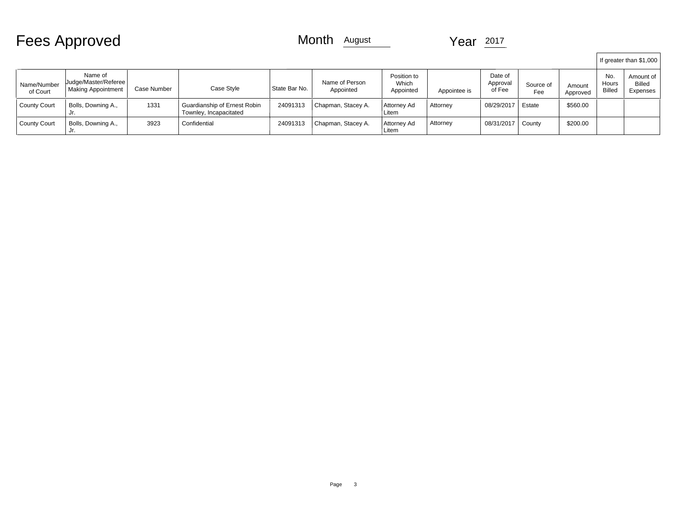| <b>Fees Approved</b> |  |
|----------------------|--|
|----------------------|--|

|                         |                                                              |             |                                                        |               |                             |                                   |              |                               |                  |                    |                               | If greater than \$1,000                |  |
|-------------------------|--------------------------------------------------------------|-------------|--------------------------------------------------------|---------------|-----------------------------|-----------------------------------|--------------|-------------------------------|------------------|--------------------|-------------------------------|----------------------------------------|--|
| Name/Number<br>of Court | Name of<br>Uudge/Master/Referee<br><b>Making Appointment</b> | Case Number | Case Style                                             | State Bar No. | Name of Person<br>Appointed | Position to<br>Which<br>Appointed | Appointee is | Date of<br>Approval<br>of Fee | Source of<br>Fee | Amount<br>Approved | No.<br>Hours<br><b>Billed</b> | Amount of<br><b>Billed</b><br>Expenses |  |
| <b>County Court</b>     | Bolls, Downing A.,<br>JI.                                    | 1331        | Guardianship of Ernest Robin<br>Townley, Incapacitated | 24091313      | Chapman, Stacey A.          | Attorney Ad<br>Litem              | Attorney     | 08/29/2017                    | Estate           | \$560.00           |                               |                                        |  |
| <b>County Court</b>     | Bolls, Downing A.,<br>Jr.                                    | 3923        | Confidential                                           | 24091313      | Chapman, Stacey A.          | Attorney Ad<br>Litem              | Attorney     | 08/31/2017                    | County           | \$200.00           |                               |                                        |  |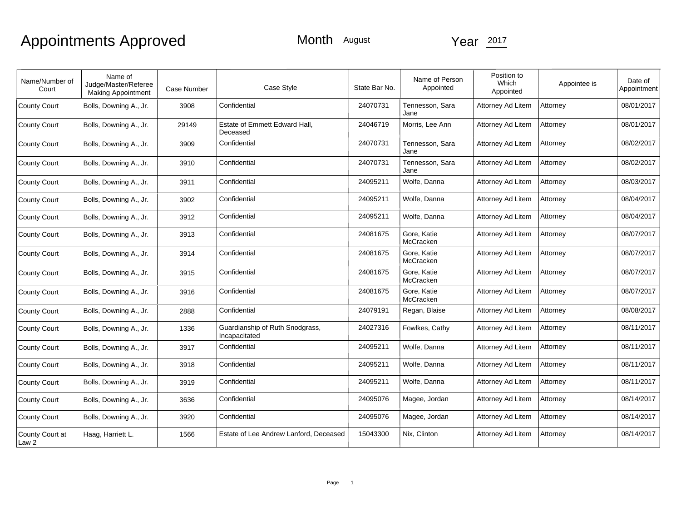# Appointments Approved

| Name/Number of<br>Court  | Name of<br>Judge/Master/Referee<br><b>Making Appointment</b> | Case Number | Case Style                                       | State Bar No. | Name of Person<br>Appointed | Position to<br>Which<br>Appointed | Appointee is | Date of<br>Appointment |
|--------------------------|--------------------------------------------------------------|-------------|--------------------------------------------------|---------------|-----------------------------|-----------------------------------|--------------|------------------------|
| County Court             | Bolls, Downing A., Jr.                                       | 3908        | Confidential                                     | 24070731      | Tennesson, Sara<br>Jane     | Attorney Ad Litem                 | Attorney     | 08/01/2017             |
| County Court             | Bolls, Downing A., Jr.                                       | 29149       | Estate of Emmett Edward Hall.<br>Deceased        | 24046719      | Morris, Lee Ann             | Attorney Ad Litem                 | Attorney     | 08/01/2017             |
| County Court             | Bolls, Downing A., Jr.                                       | 3909        | Confidential                                     | 24070731      | Tennesson, Sara<br>Jane     | Attorney Ad Litem                 | Attorney     | 08/02/2017             |
| County Court             | Bolls, Downing A., Jr.                                       | 3910        | Confidential                                     | 24070731      | Tennesson, Sara<br>Jane     | Attorney Ad Litem                 | Attorney     | 08/02/2017             |
| County Court             | Bolls, Downing A., Jr.                                       | 3911        | Confidential                                     | 24095211      | Wolfe, Danna                | Attorney Ad Litem                 | Attorney     | 08/03/2017             |
| County Court             | Bolls, Downing A., Jr.                                       | 3902        | Confidential                                     | 24095211      | Wolfe, Danna                | Attorney Ad Litem                 | Attorney     | 08/04/2017             |
| County Court             | Bolls, Downing A., Jr.                                       | 3912        | Confidential                                     | 24095211      | Wolfe, Danna                | Attorney Ad Litem                 | Attorney     | 08/04/2017             |
| County Court             | Bolls, Downing A., Jr.                                       | 3913        | Confidential                                     | 24081675      | Gore, Katie<br>McCracken    | Attorney Ad Litem                 | Attorney     | 08/07/2017             |
| County Court             | Bolls, Downing A., Jr.                                       | 3914        | Confidential                                     | 24081675      | Gore, Katie<br>McCracken    | Attorney Ad Litem                 | Attorney     | 08/07/2017             |
| County Court             | Bolls, Downing A., Jr.                                       | 3915        | Confidential                                     | 24081675      | Gore, Katie<br>McCracken    | Attorney Ad Litem                 | Attorney     | 08/07/2017             |
| County Court             | Bolls, Downing A., Jr.                                       | 3916        | Confidential                                     | 24081675      | Gore, Katie<br>McCracken    | Attorney Ad Litem                 | Attorney     | 08/07/2017             |
| County Court             | Bolls, Downing A., Jr.                                       | 2888        | Confidential                                     | 24079191      | Regan, Blaise               | Attorney Ad Litem                 | Attorney     | 08/08/2017             |
| County Court             | Bolls, Downing A., Jr.                                       | 1336        | Guardianship of Ruth Snodgrass,<br>Incapacitated | 24027316      | Fowlkes, Cathy              | Attorney Ad Litem                 | Attorney     | 08/11/2017             |
| County Court             | Bolls, Downing A., Jr.                                       | 3917        | Confidential                                     | 24095211      | Wolfe, Danna                | Attorney Ad Litem                 | Attorney     | 08/11/2017             |
| County Court             | Bolls, Downing A., Jr.                                       | 3918        | Confidential                                     | 24095211      | Wolfe, Danna                | Attorney Ad Litem                 | Attorney     | 08/11/2017             |
| County Court             | Bolls, Downing A., Jr.                                       | 3919        | Confidential                                     | 24095211      | Wolfe, Danna                | Attorney Ad Litem                 | Attorney     | 08/11/2017             |
| County Court             | Bolls, Downing A., Jr.                                       | 3636        | Confidential                                     | 24095076      | Magee, Jordan               | Attorney Ad Litem                 | Attorney     | 08/14/2017             |
| County Court             | Bolls, Downing A., Jr.                                       | 3920        | Confidential                                     | 24095076      | Magee, Jordan               | Attorney Ad Litem                 | Attorney     | 08/14/2017             |
| County Court at<br>Law 2 | Haag, Harriett L.                                            | 1566        | Estate of Lee Andrew Lanford, Deceased           | 15043300      | Nix, Clinton                | Attorney Ad Litem                 | Attorney     | 08/14/2017             |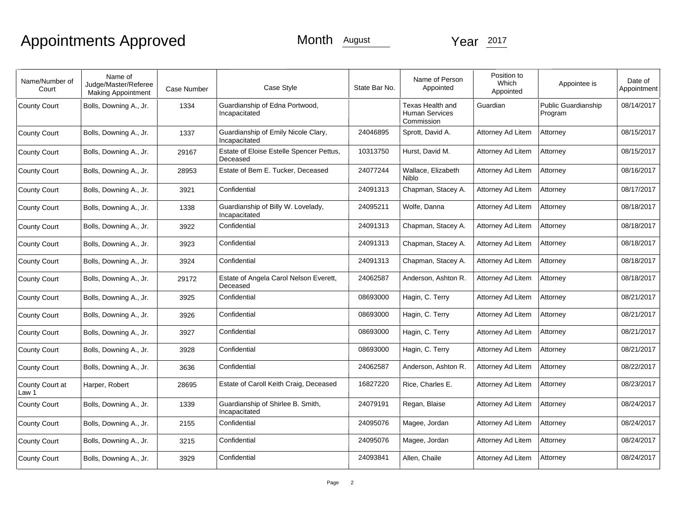# Appointments Approved

| Name/Number of<br>Court  | Name of<br>Judge/Master/Referee<br><b>Making Appointment</b> | Case Number | Case Style                                           | State Bar No. | Name of Person<br>Appointed                      | Position to<br>Which<br>Appointed | Appointee is                   | Date of<br>Appointment |
|--------------------------|--------------------------------------------------------------|-------------|------------------------------------------------------|---------------|--------------------------------------------------|-----------------------------------|--------------------------------|------------------------|
| County Court             | Bolls, Downing A., Jr.                                       | 1334        | Guardianship of Edna Portwood,<br>Incapacitated      |               | Texas Health and<br>Human Services<br>Commission | Guardian                          | Public Guardianship<br>Program | 08/14/2017             |
| County Court             | Bolls, Downing A., Jr.                                       | 1337        | Guardianship of Emily Nicole Clary,<br>Incapacitated | 24046895      | Sprott, David A.                                 | Attorney Ad Litem                 | Attorney                       | 08/15/2017             |
| County Court             | Bolls, Downing A., Jr.                                       | 29167       | Estate of Eloise Estelle Spencer Pettus,<br>Deceased | 10313750      | Hurst, David M.                                  | Attorney Ad Litem                 | Attorney                       | 08/15/2017             |
| <b>County Court</b>      | Bolls, Downing A., Jr.                                       | 28953       | Estate of Bem E. Tucker, Deceased                    | 24077244      | Wallace, Elizabeth<br>Niblo                      | Attorney Ad Litem                 | Attorney                       | 08/16/2017             |
| County Court             | Bolls, Downing A., Jr.                                       | 3921        | Confidential                                         | 24091313      | Chapman, Stacey A.                               | Attorney Ad Litem                 | Attorney                       | 08/17/2017             |
| County Court             | Bolls, Downing A., Jr.                                       | 1338        | Guardianship of Billy W. Lovelady,<br>Incapacitated  | 24095211      | Wolfe, Danna                                     | Attorney Ad Litem                 | Attorney                       | 08/18/2017             |
| <b>County Court</b>      | Bolls, Downing A., Jr.                                       | 3922        | Confidential                                         | 24091313      | Chapman, Stacey A.                               | Attorney Ad Litem                 | Attorney                       | 08/18/2017             |
| County Court             | Bolls, Downing A., Jr.                                       | 3923        | Confidential                                         | 24091313      | Chapman, Stacey A.                               | Attorney Ad Litem                 | Attorney                       | 08/18/2017             |
| County Court             | Bolls, Downing A., Jr.                                       | 3924        | Confidential                                         | 24091313      | Chapman, Stacey A.                               | Attorney Ad Litem                 | Attorney                       | 08/18/2017             |
| County Court             | Bolls, Downing A., Jr.                                       | 29172       | Estate of Angela Carol Nelson Everett,<br>Deceased   | 24062587      | Anderson, Ashton R.                              | Attorney Ad Litem                 | Attorney                       | 08/18/2017             |
| <b>County Court</b>      | Bolls, Downing A., Jr.                                       | 3925        | Confidential                                         | 08693000      | Hagin, C. Terry                                  | Attorney Ad Litem                 | Attorney                       | 08/21/2017             |
| County Court             | Bolls, Downing A., Jr.                                       | 3926        | Confidential                                         | 08693000      | Hagin, C. Terry                                  | Attorney Ad Litem                 | Attorney                       | 08/21/2017             |
| <b>County Court</b>      | Bolls, Downing A., Jr.                                       | 3927        | Confidential                                         | 08693000      | Hagin, C. Terry                                  | Attorney Ad Litem                 | Attorney                       | 08/21/2017             |
| County Court             | Bolls, Downing A., Jr.                                       | 3928        | Confidential                                         | 08693000      | Hagin, C. Terry                                  | Attorney Ad Litem                 | Attorney                       | 08/21/2017             |
| County Court             | Bolls, Downing A., Jr.                                       | 3636        | Confidential                                         | 24062587      | Anderson, Ashton R.                              | Attorney Ad Litem                 | Attorney                       | 08/22/2017             |
| County Court at<br>Law 1 | Harper, Robert                                               | 28695       | Estate of Caroll Keith Craig, Deceased               | 16827220      | Rice, Charles E.                                 | Attorney Ad Litem                 | Attorney                       | 08/23/2017             |
| County Court             | Bolls, Downing A., Jr.                                       | 1339        | Guardianship of Shirlee B. Smith,<br>Incapacitated   | 24079191      | Regan, Blaise                                    | Attorney Ad Litem                 | Attorney                       | 08/24/2017             |
| County Court             | Bolls, Downing A., Jr.                                       | 2155        | Confidential                                         | 24095076      | Magee, Jordan                                    | Attorney Ad Litem                 | Attorney                       | 08/24/2017             |
| County Court             | Bolls, Downing A., Jr.                                       | 3215        | Confidential                                         | 24095076      | Magee, Jordan                                    | Attorney Ad Litem                 | Attorney                       | 08/24/2017             |
| County Court             | Bolls, Downing A., Jr.                                       | 3929        | Confidential                                         | 24093841      | Allen, Chaile                                    | Attorney Ad Litem                 | Attorney                       | 08/24/2017             |